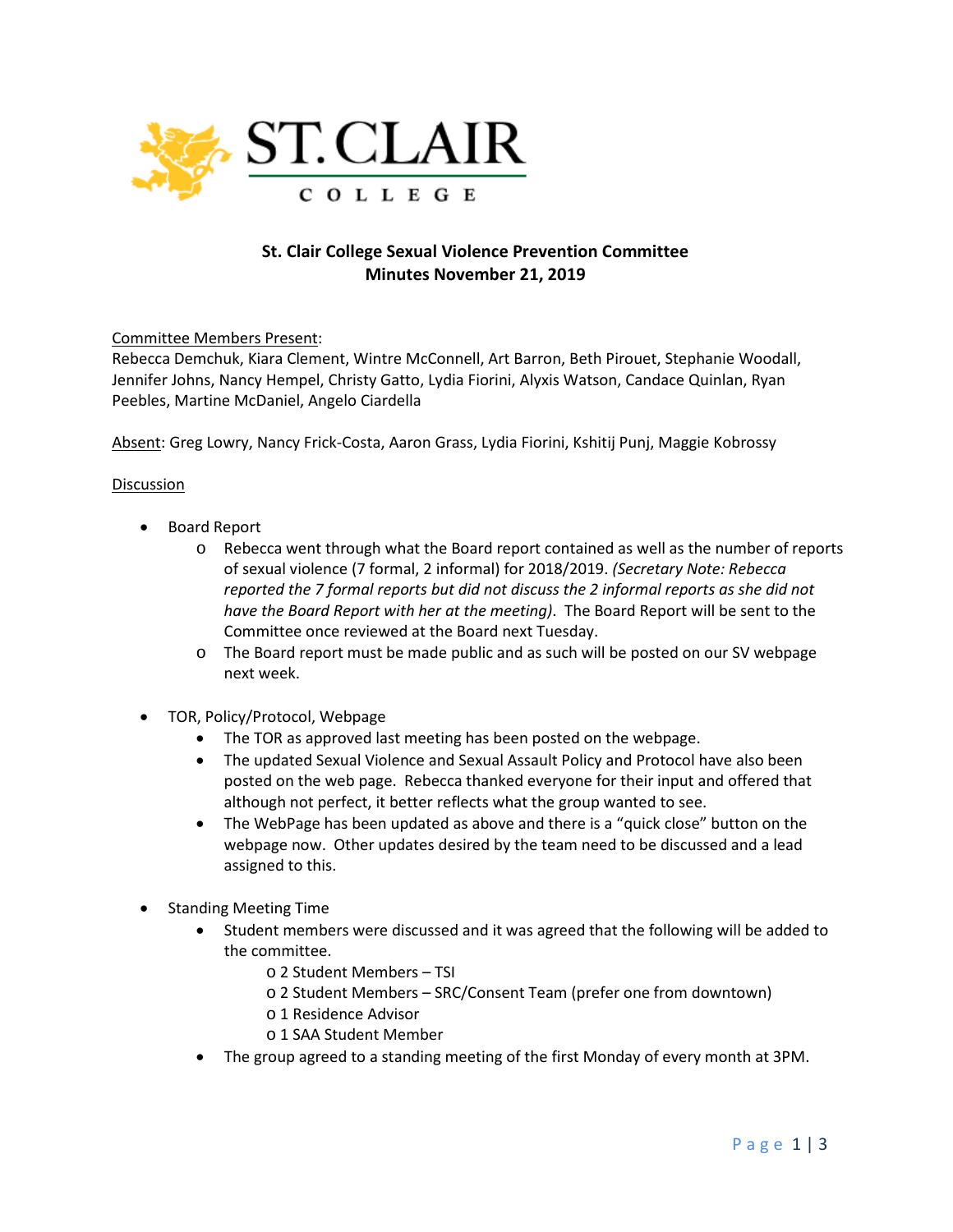

## **St. Clair College Sexual Violence Prevention Committee Minutes November 21, 2019**

Committee Members Present:

Rebecca Demchuk, Kiara Clement, Wintre McConnell, Art Barron, Beth Pirouet, Stephanie Woodall, Jennifer Johns, Nancy Hempel, Christy Gatto, Lydia Fiorini, Alyxis Watson, Candace Quinlan, Ryan Peebles, Martine McDaniel, Angelo Ciardella

Absent: Greg Lowry, Nancy Frick-Costa, Aaron Grass, Lydia Fiorini, Kshitij Punj, Maggie Kobrossy

## Discussion

- Board Report
	- o Rebecca went through what the Board report contained as well as the number of reports of sexual violence (7 formal, 2 informal) for 2018/2019. *(Secretary Note: Rebecca reported the 7 formal reports but did not discuss the 2 informal reports as she did not have the Board Report with her at the meeting)*. The Board Report will be sent to the Committee once reviewed at the Board next Tuesday.
	- o The Board report must be made public and as such will be posted on our SV webpage next week.
- TOR, Policy/Protocol, Webpage
	- The TOR as approved last meeting has been posted on the webpage.
	- The updated Sexual Violence and Sexual Assault Policy and Protocol have also been posted on the web page. Rebecca thanked everyone for their input and offered that although not perfect, it better reflects what the group wanted to see.
	- The WebPage has been updated as above and there is a "quick close" button on the webpage now. Other updates desired by the team need to be discussed and a lead assigned to this.
- Standing Meeting Time
	- Student members were discussed and it was agreed that the following will be added to the committee.
		- o 2 Student Members TSI
		- o 2 Student Members SRC/Consent Team (prefer one from downtown)
		- o 1 Residence Advisor
		- o 1 SAA Student Member
	- The group agreed to a standing meeting of the first Monday of every month at 3PM.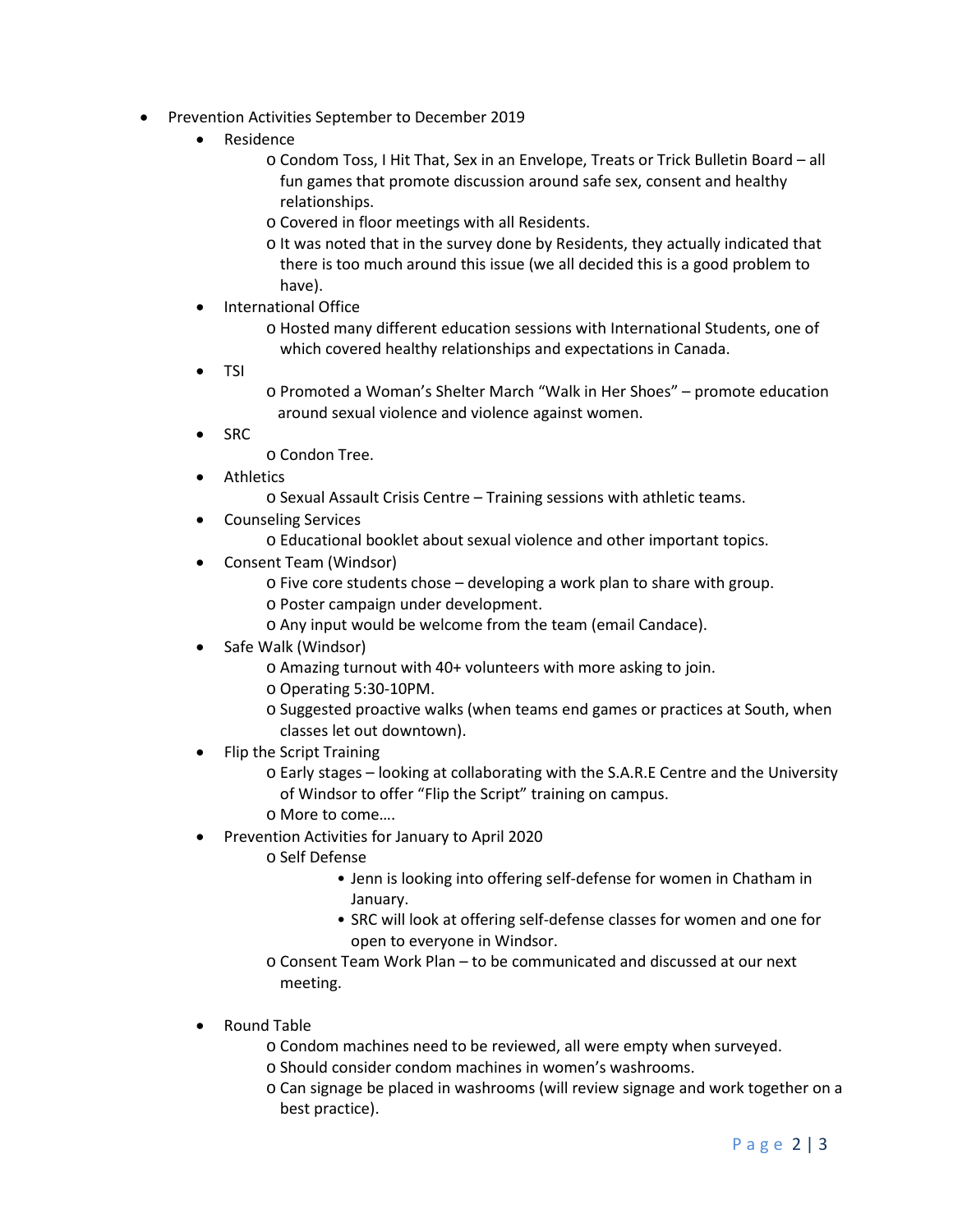- Prevention Activities September to December 2019
	- Residence
		- o Condom Toss, I Hit That, Sex in an Envelope, Treats or Trick Bulletin Board all fun games that promote discussion around safe sex, consent and healthy relationships.
		- o Covered in floor meetings with all Residents.
		- o It was noted that in the survey done by Residents, they actually indicated that there is too much around this issue (we all decided this is a good problem to have).
	- International Office
		- o Hosted many different education sessions with International Students, one of which covered healthy relationships and expectations in Canada.
	- TSI
- o Promoted a Woman's Shelter March "Walk in Her Shoes" promote education around sexual violence and violence against women.
- SRC

o Condon Tree.

- **Athletics** 
	- o Sexual Assault Crisis Centre Training sessions with athletic teams.
- Counseling Services
	- o Educational booklet about sexual violence and other important topics.
- Consent Team (Windsor)
	- o Five core students chose developing a work plan to share with group.
	- o Poster campaign under development.
	- o Any input would be welcome from the team (email Candace).
- Safe Walk (Windsor)
	- o Amazing turnout with 40+ volunteers with more asking to join.
	- o Operating 5:30-10PM.
	- o Suggested proactive walks (when teams end games or practices at South, when classes let out downtown).
- Flip the Script Training
	- o Early stages looking at collaborating with the S.A.R.E Centre and the University of Windsor to offer "Flip the Script" training on campus.
	- o More to come….
- Prevention Activities for January to April 2020
	- o Self Defense
		- Jenn is looking into offering self-defense for women in Chatham in January.
		- SRC will look at offering self-defense classes for women and one for open to everyone in Windsor.
	- o Consent Team Work Plan to be communicated and discussed at our next meeting.
- Round Table
	- o Condom machines need to be reviewed, all were empty when surveyed.
	- o Should consider condom machines in women's washrooms.
	- o Can signage be placed in washrooms (will review signage and work together on a best practice).